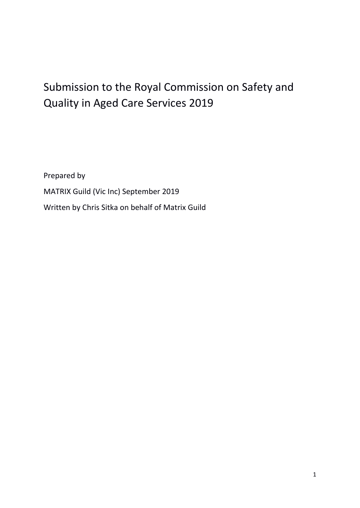# Submission to the Royal Commission on Safety and Quality in Aged Care Services 2019

Prepared by MATRIX Guild (Vic Inc) September 2019 Written by Chris Sitka on behalf of Matrix Guild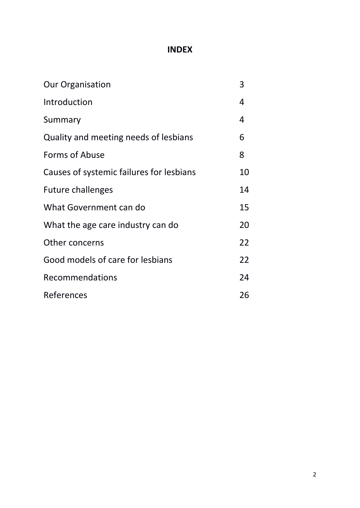# **INDEX**

| <b>Our Organisation</b>                  | 3  |
|------------------------------------------|----|
| Introduction                             | 4  |
| Summary                                  | 4  |
| Quality and meeting needs of lesbians    | 6  |
| Forms of Abuse                           | 8  |
| Causes of systemic failures for lesbians | 10 |
| <b>Future challenges</b>                 | 14 |
| What Government can do                   | 15 |
| What the age care industry can do        | 20 |
| Other concerns                           | 22 |
| Good models of care for lesbians         | 22 |
| Recommendations                          | 24 |
| References                               | 26 |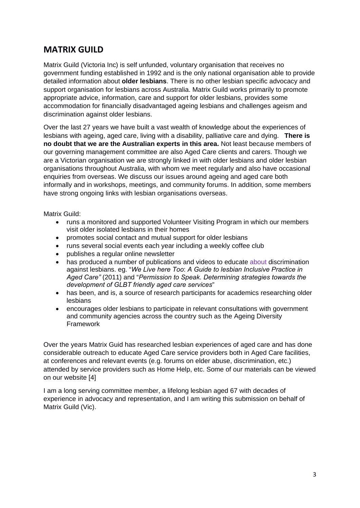# **MATRIX GUILD**

Matrix Guild (Victoria Inc) is self unfunded, voluntary organisation that receives no government funding established in 1992 and is the only national organisation able to provide detailed information about **older lesbians**. There is no other lesbian specific advocacy and support organisation for lesbians across Australia. Matrix Guild works primarily to promote appropriate advice, information, care and support for older lesbians, provides some accommodation for financially disadvantaged ageing lesbians and challenges ageism and discrimination against older lesbians.

Over the last 27 years we have built a vast wealth of knowledge about the experiences of lesbians with ageing, aged care, living with a disability, palliative care and dying. **There is no doubt that we are the Australian experts in this area.** Not least because members of our governing management committee are also Aged Care clients and carers. Though we are a Victorian organisation we are strongly linked in with older lesbians and older lesbian organisations throughout Australia, with whom we meet regularly and also have occasional enquiries from overseas. We discuss our issues around ageing and aged care both informally and in workshops, meetings, and community forums. In addition, some members have strong ongoing links with lesbian organisations overseas.

Matrix Guild:

- runs a monitored and supported Volunteer Visiting Program in which our members visit older isolated lesbians in their homes
- promotes social contact and mutual support for older lesbians
- runs several social events each year including a weekly coffee club
- publishes a regular online newsletter
- has produced a number of publications and videos to educate about discrimination against lesbians. eg. "*We Live here Too*: *A Guide to lesbian Inclusive Practice in Aged Care"* (2011) and "*Permission to Speak*. *Determining strategies towards the development of GLBT friendly aged care services*"
- has been, and is, a source of research participants for academics researching older lesbians
- encourages older lesbians to participate in relevant consultations with government and community agencies across the country such as the Ageing Diversity Framework

Over the years Matrix Guid has researched lesbian experiences of aged care and has done considerable outreach to educate Aged Care service providers both in Aged Care facilities, at conferences and relevant events (e.g. forums on elder abuse, discrimination, etc.) attended by service providers such as Home Help, etc. Some of our materials can be viewed on our website [4]

I am a long serving committee member, a lifelong lesbian aged 67 with decades of experience in advocacy and representation, and I am writing this submission on behalf of Matrix Guild (Vic).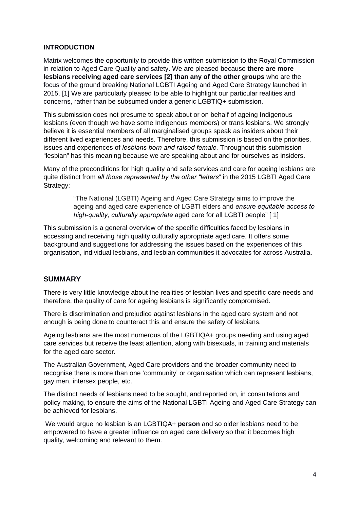#### **INTRODUCTION**

Matrix welcomes the opportunity to provide this written submission to the Royal Commission in relation to Aged Care Quality and safety. We are pleased because **there are more lesbians receiving aged care services [2] than any of the other groups** who are the focus of the ground breaking National LGBTI Ageing and Aged Care Strategy launched in 2015. [1] We are particularly pleased to be able to highlight our particular realities and concerns, rather than be subsumed under a generic LGBTIQ+ submission.

This submission does not presume to speak about or on behalf of ageing Indigenous lesbians (even though we have some Indigenous members) or trans lesbians. We strongly believe it is essential members of all marginalised groups speak as insiders about their different lived experiences and needs. Therefore, this submission is based on the priorities, issues and experiences of *lesbians born and raised female.* Throughout this submission "lesbian" has this meaning because we are speaking about and for ourselves as insiders.

Many of the preconditions for high quality and safe services and care for ageing lesbians are quite distinct from *all those represented by the other "letters*" in the 2015 LGBTI Aged Care Strategy:

> "The National (LGBTI) Ageing and Aged Care Strategy aims to improve the ageing and aged care experience of LGBTI elders and *ensure equitable access to high-quality, culturally appropriate* aged care for all LGBTI people" [ 1]

This submission is a general overview of the specific difficulties faced by lesbians in accessing and receiving high quality culturally appropriate aged care. It offers some background and suggestions for addressing the issues based on the experiences of this organisation, individual lesbians, and lesbian communities it advocates for across Australia.

#### **SUMMARY**

There is very little knowledge about the realities of lesbian lives and specific care needs and therefore, the quality of care for ageing lesbians is significantly compromised.

There is discrimination and prejudice against lesbians in the aged care system and not enough is being done to counteract this and ensure the safety of lesbians.

Ageing lesbians are the most numerous of the LGBTIQA+ groups needing and using aged care services but receive the least attention, along with bisexuals, in training and materials for the aged care sector.

The Australian Government, Aged Care providers and the broader community need to recognise there is more than one 'community' or organisation which can represent lesbians, gay men, intersex people, etc.

The distinct needs of lesbians need to be sought, and reported on, in consultations and policy making, to ensure the aims of the National LGBTI Ageing and Aged Care Strategy can be achieved for lesbians.

We would argue no lesbian is an LGBTIQA+ **person** and so older lesbians need to be empowered to have a greater influence on aged care delivery so that it becomes high quality, welcoming and relevant to them.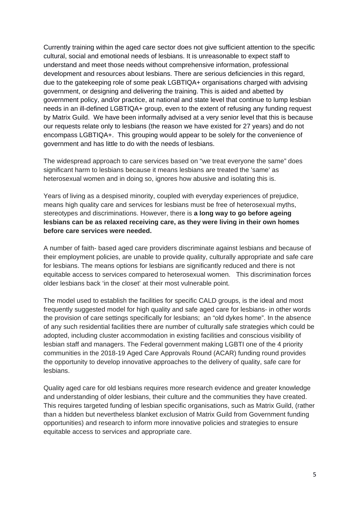Currently training within the aged care sector does not give sufficient attention to the specific cultural, social and emotional needs of lesbians. It is unreasonable to expect staff to understand and meet those needs without comprehensive information, professional development and resources about lesbians. There are serious deficiencies in this regard, due to the gatekeeping role of some peak LGBTIQA+ organisations charged with advising government, or designing and delivering the training. This is aided and abetted by government policy, and/or practice, at national and state level that continue to lump lesbian needs in an ill-defined LGBTIQA+ group, even to the extent of refusing any funding request by Matrix Guild. We have been informally advised at a very senior level that this is because our requests relate only to lesbians (the reason we have existed for 27 years) and do not encompass LGBTIQA+. This grouping would appear to be solely for the convenience of government and has little to do with the needs of lesbians.

The widespread approach to care services based on "we treat everyone the same" does significant harm to lesbians because it means lesbians are treated the 'same' as heterosexual women and in doing so, ignores how abusive and isolating this is.

Years of living as a despised minority, coupled with everyday experiences of prejudice, means high quality care and services for lesbians must be free of heterosexual myths, stereotypes and discriminations. However, there is **a long way to go before ageing lesbians can be as relaxed receiving care, as they were living in their own homes before care services were needed.**

A number of faith- based aged care providers discriminate against lesbians and because of their employment policies, are unable to provide quality, culturally appropriate and safe care for lesbians. The means options for lesbians are significantly reduced and there is not equitable access to services compared to heterosexual women. This discrimination forces older lesbians back 'in the closet' at their most vulnerable point.

The model used to establish the facilities for specific CALD groups, is the ideal and most frequently suggested model for high quality and safe aged care for lesbians- in other words the provision of care settings specifically for lesbians; an "old dykes home". In the absence of any such residential facilities there are number of culturally safe strategies which could be adopted, including cluster accommodation in existing facilities and conscious visibility of lesbian staff and managers. The Federal government making LGBTI one of the 4 priority communities in the 2018-19 Aged Care Approvals Round (ACAR) funding round provides the opportunity to develop innovative approaches to the delivery of quality, safe care for lesbians.

Quality aged care for old lesbians requires more research evidence and greater knowledge and understanding of older lesbians, their culture and the communities they have created. This requires targeted funding of lesbian specific organisations, such as Matrix Guild, (rather than a hidden but nevertheless blanket exclusion of Matrix Guild from Government funding opportunities) and research to inform more innovative policies and strategies to ensure equitable access to services and appropriate care.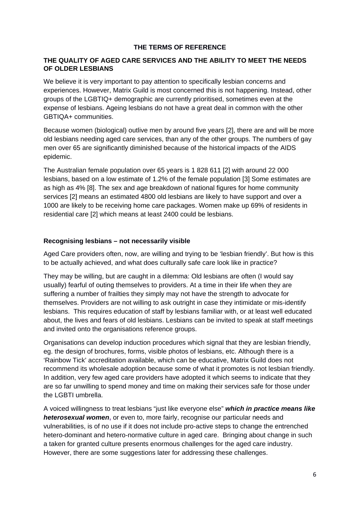#### **THE TERMS OF REFERENCE**

#### **THE QUALITY OF AGED CARE SERVICES AND THE ABILITY TO MEET THE NEEDS OF OLDER LESBIANS**

We believe it is very important to pay attention to specifically lesbian concerns and experiences. However, Matrix Guild is most concerned this is not happening. Instead, other groups of the LGBTIQ+ demographic are currently prioritised, sometimes even at the expense of lesbians. Ageing lesbians do not have a great deal in common with the other GBTIQA+ communities.

Because women (biological) outlive men by around five years [2], there are and will be more old lesbians needing aged care services, than any of the other groups. The numbers of gay men over 65 are significantly diminished because of the historical impacts of the AIDS epidemic.

The Australian female population over 65 years is 1 828 611 [2] with around 22 000 lesbians, based on a low estimate of 1.2% of the female population [3] Some estimates are as high as 4% [8]. The sex and age breakdown of national figures for home community services [2] means an estimated 4800 old lesbians are likely to have support and over a 1000 are likely to be receiving home care packages. Women make up 69% of residents in residential care [2] which means at least 2400 could be lesbians.

#### **Recognising lesbians – not necessarily visible**

Aged Care providers often, now, are willing and trying to be 'lesbian friendly'. But how is this to be actually achieved, and what does culturally safe care look like in practice?

They may be willing, but are caught in a dilemma: Old lesbians are often (I would say usually) fearful of outing themselves to providers. At a time in their life when they are suffering a number of frailties they simply may not have the strength to advocate for themselves. Providers are not willing to ask outright in case they intimidate or mis-identify lesbians. This requires education of staff by lesbians familiar with, or at least well educated about, the lives and fears of old lesbians. Lesbians can be invited to speak at staff meetings and invited onto the organisations reference groups.

Organisations can develop induction procedures which signal that they are lesbian friendly, eg. the design of brochures, forms, visible photos of lesbians, etc. Although there is a 'Rainbow Tick' accreditation available, which can be educative, Matrix Guild does not recommend its wholesale adoption because some of what it promotes is not lesbian friendly. In addition, very few aged care providers have adopted it which seems to indicate that they are so far unwilling to spend money and time on making their services safe for those under the LGBTI umbrella.

A voiced willingness to treat lesbians "just like everyone else" *which in practice means like heterosexual women***,** or even to, more fairly, recognise our particular needs and vulnerabilities, is of no use if it does not include pro-active steps to change the entrenched hetero-dominant and hetero-normative culture in aged care. Bringing about change in such a taken for granted culture presents enormous challenges for the aged care industry. However, there are some suggestions later for addressing these challenges.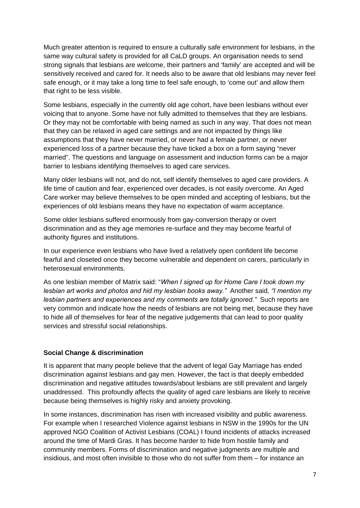Much greater attention is required to ensure a culturally safe environment for lesbians, in the same way cultural safety is provided for all CaLD groups. An organisation needs to send strong signals that lesbians are welcome, their partners and 'family' are accepted and will be sensitively received and cared for. It needs also to be aware that old lesbians may never feel safe enough, or it may take a long time to feel safe enough, to 'come out' and allow them that right to be less visible.

Some lesbians, especially in the currently old age cohort, have been lesbians without ever voicing that to anyone. Some have not fully admitted to themselves that they are lesbians. Or they may not be comfortable with being named as such in any way. That does not mean that they can be relaxed in aged care settings and are not impacted by things like assumptions that they have never married, or never had a female partner, or never experienced loss of a partner because they have ticked a box on a form saying "never married". The questions and language on assessment and induction forms can be a major barrier to lesbians identifying themselves to aged care services.

Many older lesbians will not, and do not, self identify themselves to aged care providers. A life time of caution and fear, experienced over decades, is not easily overcome. An Aged Care worker may believe themselves to be open minded and accepting of lesbians, but the experiences of old lesbians means they have no expectation of warm acceptance.

Some older lesbians suffered enormously from gay-conversion therapy or overt discrimination and as they age memories re-surface and they may become fearful of authority figures and institutions.

In our experience even lesbians who have lived a relatively open confident life become fearful and closeted once they become vulnerable and dependent on carers, particularly in heterosexual environments.

As one lesbian member of Matrix said: "*When I signed up for Home Care I took down my lesbian art works and photos and hid my lesbian books away."* Another said*, "I mention my lesbian partners and experiences and my comments are totally ignored.*" Such reports are very common and indicate how the needs of lesbians are not being met, because they have to hide all of themselves for fear of the negative judgements that can lead to poor quality services and stressful social relationships.

#### **Social Change & discrimination**

It is apparent that many people believe that the advent of legal Gay Marriage has ended discrimination against lesbians and gay men. However, the fact is that deeply embedded discrimination and negative attitudes towards/about lesbians are still prevalent and largely unaddressed. This profoundly affects the quality of aged care lesbians are likely to receive because being themselves is highly risky and anxiety provoking.

In some instances, discrimination has risen with increased visibility and public awareness. For example when I researched Violence against lesbians in NSW in the 1990s for the UN approved NGO Coalition of Activist Lesbians (COAL) I found incidents of attacks increased around the time of Mardi Gras. It has become harder to hide from hostile family and community members. Forms of discrimination and negative judgments are multiple and insidious, and most often invisible to those who do not suffer from them – for instance an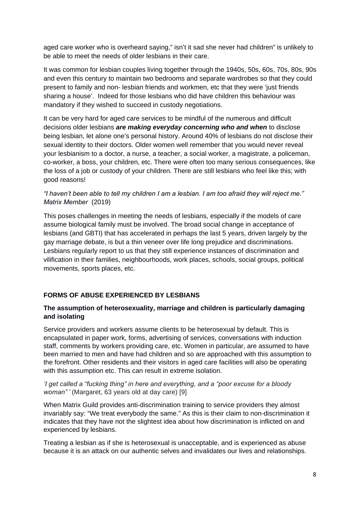aged care worker who is overheard saying," isn't it sad she never had children" is unlikely to be able to meet the needs of older lesbians in their care.

It was common for lesbian couples living together through the 1940s, 50s, 60s, 70s, 80s, 90s and even this century to maintain two bedrooms and separate wardrobes so that they could present to family and non- lesbian friends and workmen, etc that they were 'just friends sharing a house'. Indeed for those lesbians who did have children this behaviour was mandatory if they wished to succeed in custody negotiations.

It can be very hard for aged care services to be mindful of the numerous and difficult decisions older lesbians *are making everyday concerning who and when* to disclose being lesbian, let alone one's personal history. Around 40% of lesbians do not disclose their sexual identity to their doctors. Older women well remember that you would never reveal your lesbianism to a doctor, a nurse, a teacher, a social worker, a magistrate, a policeman, co-worker, a boss, your children, etc. There were often too many serious consequences, like the loss of a job or custody of your children. There are still lesbians who feel like this; with good reasons!

#### *"I haven't been able to tell my children I am a lesbian. I am too afraid they will reject me." Matrix Member* (2019)

This poses challenges in meeting the needs of lesbians, especially if the models of care assume biological family must be involved. The broad social change in acceptance of lesbians (and GBTI) that has accelerated in perhaps the last 5 years, driven largely by the gay marriage debate, is but a thin veneer over life long prejudice and discriminations. Lesbians regularly report to us that they still experience instances of discrimination and vilification in their families, neighbourhoods, work places, schools, social groups, political movements, sports places, etc.

#### **FORMS OF ABUSE EXPERIENCED BY LESBIANS**

#### **The assumption of heterosexuality, marriage and children is particularly damaging and isolating**

Service providers and workers assume clients to be heterosexual by default. This is encapsulated in paper work, forms, advertising of services, conversations with induction staff, comments by workers providing care, etc. Women in particular, are assumed to have been married to men and have had children and so are approached with this assumption to the forefront. Other residents and their visitors in aged care facilities will also be operating with this assumption etc. This can result in extreme isolation.

*'I get called a "fucking thing" in here and everything, and a "poor excuse for a bloody woman" '* (Margaret, 63 years old at day care) [9]

When Matrix Guild provides anti-discrimination training to service providers they almost invariably say: "We treat everybody the same." As this is their claim to non-discrimination it indicates that they have not the slightest idea about how discrimination is inflicted on and experienced by lesbians.

Treating a lesbian as if she is heterosexual is unacceptable, and is experienced as abuse because it is an attack on our authentic selves and invalidates our lives and relationships.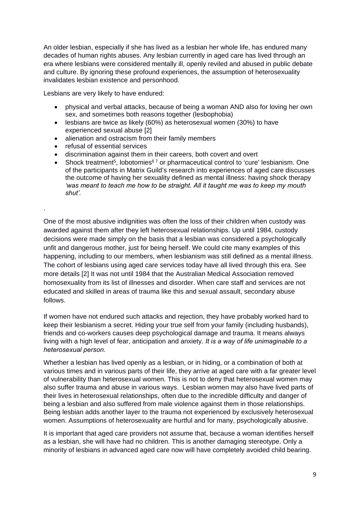An older lesbian, especially if she has lived as a lesbian her whole life, has endured many decades of human rights abuses. Any lesbian currently in aged care has lived through an era where lesbians were considered mentally ill, openly reviled and abused in public debate and culture. By ignoring these profound experiences, the assumption of heterosexuality invalidates lesbian existence and personhood.

Lesbians are very likely to have endured:

- physical and verbal attacks, because of being a woman AND also for loving her own sex, and sometimes both reasons together (lesbophobia)
- lesbians are twice as likely (60%) as heterosexual women (30%) to have experienced sexual abuse [2]
- alienation and ostracism from their family members
- refusal of essential services

.

- discrimination against them in their careers, both covert and overt
- Shock treatment<sup>5</sup>, lobotomies<sup>67</sup> or pharmaceutical control to 'cure' lesbianism. One of the participants in Matrix Guild's research into experiences of aged care discusses the outcome of having her sexuality defined as mental illness: having shock therapy *'was meant to teach me how to be straight. All it taught me was to keep my mouth shut'.*

One of the most abusive indignities was often the loss of their children when custody was awarded against them after they left heterosexual relationships. Up until 1984, custody decisions were made simply on the basis that a lesbian was considered a psychologically unfit and dangerous mother, just for being herself. We could cite many examples of this happening, including to our members, when lesbianism was still defined as a mental illness. The cohort of lesbians using aged care services today have all lived through this era. See more details [2] It was not until 1984 that the Australian Medical Association removed homosexuality from its list of illnesses and disorder. When care staff and services are not educated and skilled in areas of trauma like this and sexual assault, secondary abuse follows.

If women have not endured such attacks and rejection, they have probably worked hard to keep their lesbianism a secret. Hiding your true self from your family (including husbands), friends and co-workers causes deep psychological damage and trauma. It means always living with a high level of fear, anticipation and anxiety. *It is a way of life unimaginable to a heterosexual person.* 

Whether a lesbian has lived openly as a lesbian, or in hiding, or a combination of both at various times and in various parts of their life, they arrive at aged care with a far greater level of vulnerability than heterosexual women. This is not to deny that heterosexual women may also suffer trauma and abuse in various ways. Lesbian women may also have lived parts of their lives in heterosexual relationships, often due to the incredible difficulty and danger of being a lesbian and also suffered from male violence against them in those relationships. Being lesbian adds another layer to the trauma not experienced by exclusively heterosexual women. Assumptions of heterosexuality are hurtful and for many, psychologically abusive.

It is important that aged care providers not assume that, because a woman identifies herself as a lesbian, she will have had no children. This is another damaging stereotype. Only a minority of lesbians in advanced aged care now will have completely avoided child bearing.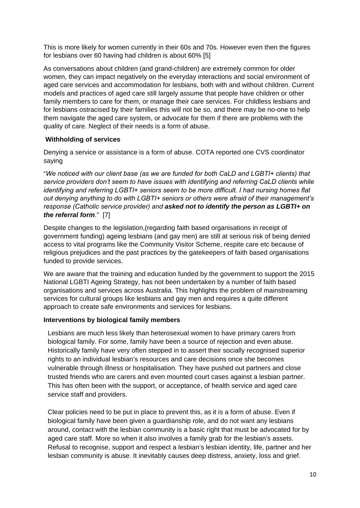This is more likely for women currently in their 60s and 70s. However even then the figures for lesbians over 60 having had children is about 60% [5]

As conversations about children (and grand-children) are extremely common for older women, they can impact negatively on the everyday interactions and social environment of aged care services and accommodation for lesbians, both with and without children. Current models and practices of aged care still largely assume that people have children or other family members to care for them, or manage their care services. For childless lesbians and for lesbians ostracised by their families this will not be so, and there may be no-one to help them navigate the aged care system, or advocate for them if there are problems with the quality of care. Neglect of their needs is a form of abuse.

#### **Withholding of services**

Denying a service or assistance is a form of abuse. COTA reported one CVS coordinator saying

"*We noticed with our client base (as we are funded for both CaLD and LGBTI+ clients) that service providers don't seem to have issues with identifying and referring CaLD clients while identifying and referring LGBTI+ seniors seem to be more difficult. I had nursing homes flat out denying anything to do with LGBTI+ seniors or others were afraid of their management's response (Catholic service provider) and asked not to identify the person as LGBTI+ on the referral form.*" [7]

Despite changes to the legislation,(regarding faith based organisations in receipt of government funding) ageing lesbians (and gay men) are still at serious risk of being denied access to vital programs like the Community Visitor Scheme, respite care etc because of religious prejudices and the past practices by the gatekeepers of faith based organisations funded to provide services.

We are aware that the training and education funded by the government to support the 2015 National LGBTI Ageing Strategy, has not been undertaken by a number of faith based organisations and services across Australia. This highlights the problem of mainstreaming services for cultural groups like lesbians and gay men and requires a quite different approach to create safe environments and services for lesbians.

#### **Interventions by biological family members**

Lesbians are much less likely than heterosexual women to have primary carers from biological family. For some, family have been a source of rejection and even abuse. Historically family have very often stepped in to assert their socially recognised superior rights to an individual lesbian's resources and care decisions once she becomes vulnerable through illness or hospitalisation. They have pushed out partners and close trusted friends who are carers and even mounted court cases against a lesbian partner. This has often been with the support, or acceptance, of health service and aged care service staff and providers.

Clear policies need to be put in place to prevent this, as it is a form of abuse. Even if biological family have been given a guardianship role, and do not want any lesbians around, contact with the lesbian community is a basic right that must be advocated for by aged care staff. More so when it also involves a family grab for the lesbian's assets. Refusal to recognise, support and respect a lesbian's lesbian identity, life, partner and her lesbian community is abuse. It inevitably causes deep distress, anxiety, loss and grief.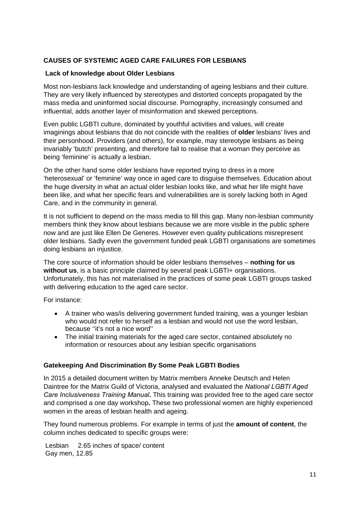#### **CAUSES OF SYSTEMIC AGED CARE FAILURES FOR LESBIANS**

#### **Lack of knowledge about Older Lesbians**

Most non-lesbians lack knowledge and understanding of ageing lesbians and their culture. They are very likely influenced by stereotypes and distorted concepts propagated by the mass media and uninformed social discourse. Pornography, increasingly consumed and influential, adds another layer of misinformation and skewed perceptions.

Even public LGBTI culture, dominated by youthful activities and values, will create imaginings about lesbians that do not coincide with the realities of **older** lesbians' lives and their personhood. Providers (and others), for example, may stereotype lesbians as being invariably 'butch' presenting, and therefore fail to realise that a woman they perceive as being 'feminine' is actually a lesbian.

On the other hand some older lesbians have reported trying to dress in a more 'heterosexual' or 'feminine' way once in aged care to disguise themselves. Education about the huge diversity in what an actual older lesbian looks like, and what her life might have been like, and what her specific fears and vulnerabilities are is sorely lacking both in Aged Care, and in the community in general.

It is not sufficient to depend on the mass media to fill this gap. Many non-lesbian community members think they know about lesbians because we are more visible in the public sphere now and are just like Ellen De Generes. However even quality publications misrepresent older lesbians. Sadly even the government funded peak LGBTI organisations are sometimes doing lesbians an injustice.

The core source of information should be older lesbians themselves – **nothing for us without us**, is a basic principle claimed by several peak LGBTI+ organisations. Unfortunately, this has not materialised in the practices of some peak LGBTI groups tasked with delivering education to the aged care sector.

For instance:

- A trainer who was/is delivering government funded training, was a younger lesbian who would not refer to herself as a lesbian and would not use the word lesbian, because ''it's not a nice word''
- The initial training materials for the aged care sector, contained absolutely no information or resources about any lesbian specific organisations

#### **Gatekeeping And Discrimination By Some Peak LGBTI Bodies**

In 2015 a detailed document written by Matrix members Anneke Deutsch and Helen Daintree for the Matrix Guild of Victoria, analysed and evaluated the *National LGBTI Aged Care Inclusiveness Training Manual***.** This training was provided free to the aged care sector and comprised a one day workshop**.** These two professional women are highly experienced women in the areas of lesbian health and ageing.

They found numerous problems. For example in terms of just the **amount of content**, the column inches dedicated to specific groups were:

Lesbian 2.65 inches of space/ content Gay men, 12.85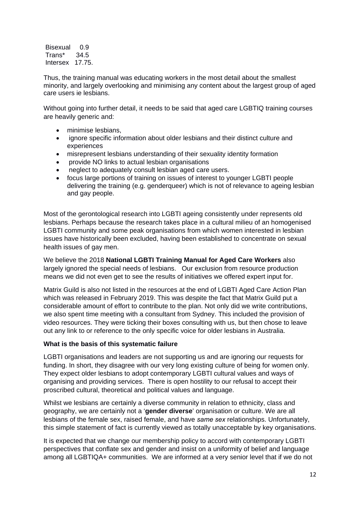Bisexual 0.9 Trans\* 34.5 Intersex 17.75.

Thus, the training manual was educating workers in the most detail about the smallest minority, and largely overlooking and minimising any content about the largest group of aged care users ie lesbians.

Without going into further detail, it needs to be said that aged care LGBTIQ training courses are heavily generic and:

- minimise lesbians,
- ignore specific information about older lesbians and their distinct culture and experiences
- misrepresent lesbians understanding of their sexuality identity formation
- provide NO links to actual lesbian organisations
- neglect to adequately consult lesbian aged care users.
- focus large portions of training on issues of interest to younger LGBTI people delivering the training (e.g. genderqueer) which is not of relevance to ageing lesbian and gay people.

Most of the gerontological research into LGBTI ageing consistently under represents old lesbians. Perhaps because the research takes place in a cultural milieu of an homogenised LGBTI community and some peak organisations from which women interested in lesbian issues have historically been excluded, having been established to concentrate on sexual health issues of gay men.

We believe the 2018 **National LGBTI Training Manual for Aged Care Workers** also largely ignored the special needs of lesbians. Our exclusion from resource production means we did not even get to see the results of initiatives we offered expert input for.

Matrix Guild is also not listed in the resources at the end of LGBTI Aged Care Action Plan which was released in February 2019. This was despite the fact that Matrix Guild put a considerable amount of effort to contribute to the plan. Not only did we write contributions, we also spent time meeting with a consultant from Sydney. This included the provision of video resources. They were ticking their boxes consulting with us, but then chose to leave out any link to or reference to the only specific voice for older lesbians in Australia.

#### **What is the basis of this systematic failure**

LGBTI organisations and leaders are not supporting us and are ignoring our requests for funding. In short, they disagree with our very long existing culture of being for women only. They expect older lesbians to adopt contemporary LGBTI cultural values and ways of organising and providing services. There is open hostility to our refusal to accept their proscribed cultural, theoretical and political values and language.

Whilst we lesbians are certainly a diverse community in relation to ethnicity, class and geography, we are certainly not a '**gender diverse**' organisation or culture. We are all lesbians of the female sex, raised female, and have *same sex* relationships. Unfortunately, this simple statement of fact is currently viewed as totally unacceptable by key organisations.

It is expected that we change our membership policy to accord with contemporary LGBTI perspectives that conflate sex and gender and insist on a uniformity of belief and language among all LGBTIQA+ communities. We are informed at a very senior level that if we do not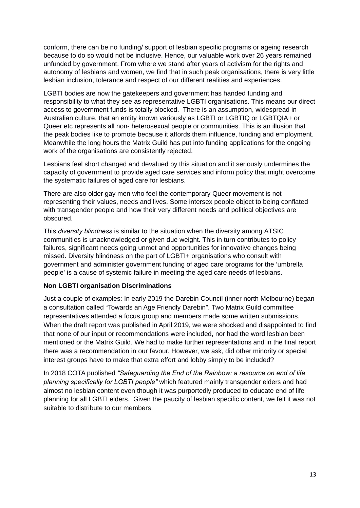conform, there can be no funding/ support of lesbian specific programs or ageing research because to do so would not be inclusive. Hence, our valuable work over 26 years remained unfunded by government. From where we stand after years of activism for the rights and autonomy of lesbians and women, we find that in such peak organisations, there is very little lesbian inclusion, tolerance and respect of our different realities and experiences.

LGBTI bodies are now the gatekeepers and government has handed funding and responsibility to what they see as representative LGBTI organisations. This means our direct access to government funds is totally blocked. There is an assumption, widespread in Australian culture, that an entity known variously as LGBTI or LGBTIQ or LGBTQIA+ or Queer etc represents all non- heterosexual people or communities. This is an illusion that the peak bodies like to promote because it affords them influence, funding and employment. Meanwhile the long hours the Matrix Guild has put into funding applications for the ongoing work of the organisations are consistently rejected.

Lesbians feel short changed and devalued by this situation and it seriously undermines the capacity of government to provide aged care services and inform policy that might overcome the systematic failures of aged care for lesbians.

There are also older gay men who feel the contemporary Queer movement is not representing their values, needs and lives. Some intersex people object to being conflated with transgender people and how their very different needs and political objectives are obscured.

This *diversity blindness* is similar to the situation when the diversity among ATSIC communities is unacknowledged or given due weight. This in turn contributes to policy failures, significant needs going unmet and opportunities for innovative changes being missed. Diversity blindness on the part of LGBTI+ organisations who consult with government and administer government funding of aged care programs for the 'umbrella people' is a cause of systemic failure in meeting the aged care needs of lesbians.

#### **Non LGBTI organisation Discriminations**

Just a couple of examples: In early 2019 the Darebin Council (inner north Melbourne) began a consultation called "Towards an Age Friendly Darebin". Two Matrix Guild committee representatives attended a focus group and members made some written submissions. When the draft report was published in April 2019, we were shocked and disappointed to find that none of our input or recommendations were included, nor had the word lesbian been mentioned or the Matrix Guild. We had to make further representations and in the final report there was a recommendation in our favour. However, we ask, did other minority or special interest groups have to make that extra effort and lobby simply to be included?

In 2018 COTA published *"Safeguarding the End of the Rainbow: a resource on end of life planning specifically for LGBTI people"* which featured mainly transgender elders and had almost no lesbian content even though it was purportedly produced to educate end of life planning for all LGBTI elders. Given the paucity of lesbian specific content, we felt it was not suitable to distribute to our members.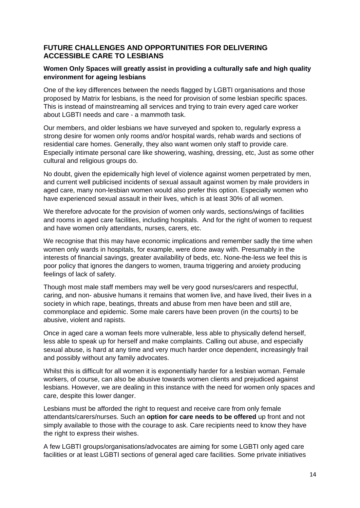#### **FUTURE CHALLENGES AND OPPORTUNITIES FOR DELIVERING ACCESSIBLE CARE TO LESBIANS**

#### **Women Only Spaces will greatly assist in providing a culturally safe and high quality environment for ageing lesbians**

One of the key differences between the needs flagged by LGBTI organisations and those proposed by Matrix for lesbians, is the need for provision of some lesbian specific spaces. This is instead of mainstreaming all services and trying to train every aged care worker about LGBTI needs and care - a mammoth task.

Our members, and older lesbians we have surveyed and spoken to, regularly express a strong desire for women only rooms and/or hospital wards, rehab wards and sections of residential care homes. Generally, they also want women only staff to provide care. Especially intimate personal care like showering, washing, dressing, etc, Just as some other cultural and religious groups do.

No doubt, given the epidemically high level of violence against women perpetrated by men, and current well publicised incidents of sexual assault against women by male providers in aged care, many non-lesbian women would also prefer this option. Especially women who have experienced sexual assault in their lives, which is at least 30% of all women.

We therefore advocate for the provision of women only wards, sections/wings of facilities and rooms in aged care facilities, including hospitals. And for the right of women to request and have women only attendants, nurses, carers, etc.

We recognise that this may have economic implications and remember sadly the time when women only wards in hospitals, for example, were done away with. Presumably in the interests of financial savings, greater availability of beds, etc. None-the-less we feel this is poor policy that ignores the dangers to women, trauma triggering and anxiety producing feelings of lack of safety.

Though most male staff members may well be very good nurses/carers and respectful, caring, and non- abusive humans it remains that women live, and have lived, their lives in a society in which rape, beatings, threats and abuse from men have been and still are, commonplace and epidemic. Some male carers have been proven (in the courts) to be abusive, violent and rapists.

Once in aged care a woman feels more vulnerable, less able to physically defend herself, less able to speak up for herself and make complaints. Calling out abuse, and especially sexual abuse, is hard at any time and very much harder once dependent, increasingly frail and possibly without any family advocates.

Whilst this is difficult for all women it is exponentially harder for a lesbian woman. Female workers, of course, can also be abusive towards women clients and prejudiced against lesbians. However, we are dealing in this instance with the need for women only spaces and care, despite this lower danger.

Lesbians must be afforded the right to request and receive care from only female attendants/carers/nurses. Such an **option for care needs to be offered** up front and not simply available to those with the courage to ask. Care recipients need to know they have the right to express their wishes.

A few LGBTI groups/organisations/advocates are aiming for some LGBTI only aged care facilities or at least LGBTI sections of general aged care facilities. Some private initiatives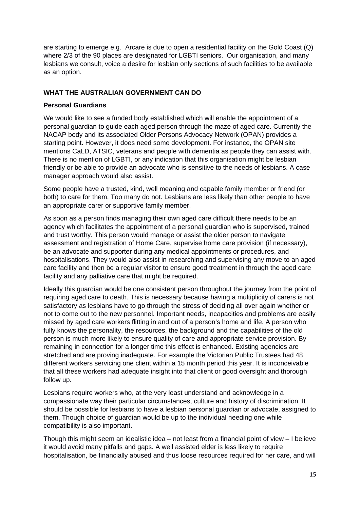are starting to emerge e.g. Arcare is due to open a residential facility on the Gold Coast (Q) where 2/3 of the 90 places are designated for LGBTI seniors. Our organisation, and many lesbians we consult, voice a desire for lesbian only sections of such facilities to be available as an option.

#### **WHAT THE AUSTRALIAN GOVERNMENT CAN DO**

#### **Personal Guardians**

We would like to see a funded body established which will enable the appointment of a personal guardian to guide each aged person through the maze of aged care. Currently the NACAP body and its associated Older Persons Advocacy Network (OPAN) provides a starting point. However, it does need some development. For instance, the OPAN site mentions CaLD, ATSIC, veterans and people with dementia as people they can assist with. There is no mention of LGBTI, or any indication that this organisation might be lesbian friendly or be able to provide an advocate who is sensitive to the needs of lesbians. A case manager approach would also assist.

Some people have a trusted, kind, well meaning and capable family member or friend (or both) to care for them. Too many do not. Lesbians are less likely than other people to have an appropriate carer or supportive family member.

As soon as a person finds managing their own aged care difficult there needs to be an agency which facilitates the appointment of a personal guardian who is supervised, trained and trust worthy. This person would manage or assist the older person to navigate assessment and registration of Home Care, supervise home care provision (if necessary), be an advocate and supporter during any medical appointments or procedures, and hospitalisations. They would also assist in researching and supervising any move to an aged care facility and then be a regular visitor to ensure good treatment in through the aged care facility and any palliative care that might be required.

Ideally this guardian would be one consistent person throughout the journey from the point of requiring aged care to death. This is necessary because having a multiplicity of carers is not satisfactory as lesbians have to go through the stress of deciding all over again whether or not to come out to the new personnel. Important needs, incapacities and problems are easily missed by aged care workers flitting in and out of a person's home and life. A person who fully knows the personality, the resources, the background and the capabilities of the old person is much more likely to ensure quality of care and appropriate service provision. By remaining in connection for a longer time this effect is enhanced. Existing agencies are stretched and are proving inadequate. For example the Victorian Public Trustees had 48 different workers servicing one client within a 15 month period this year. It is inconceivable that all these workers had adequate insight into that client or good oversight and thorough follow up.

Lesbians require workers who, at the very least understand and acknowledge in a compassionate way their particular circumstances, culture and history of discrimination. It should be possible for lesbians to have a lesbian personal guardian or advocate, assigned to them. Though choice of guardian would be up to the individual needing one while compatibility is also important.

Though this might seem an idealistic idea – not least from a financial point of view – I believe it would avoid many pitfalls and gaps. A well assisted elder is less likely to require hospitalisation, be financially abused and thus loose resources required for her care, and will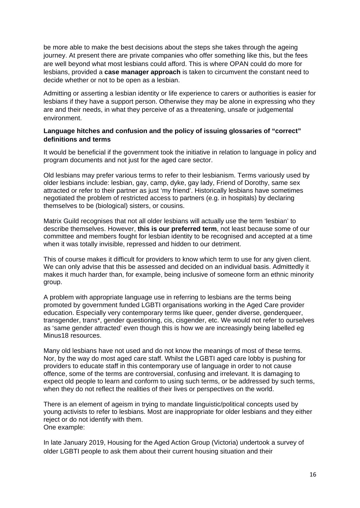be more able to make the best decisions about the steps she takes through the ageing journey. At present there are private companies who offer something like this, but the fees are well beyond what most lesbians could afford. This is where OPAN could do more for lesbians, provided a **case manager approach** is taken to circumvent the constant need to decide whether or not to be open as a lesbian.

Admitting or asserting a lesbian identity or life experience to carers or authorities is easier for lesbians if they have a support person. Otherwise they may be alone in expressing who they are and their needs, in what they perceive of as a threatening, unsafe or judgemental environment.

#### **Language hitches and confusion and the policy of issuing glossaries of "correct" definitions and terms**

It would be beneficial if the government took the initiative in relation to language in policy and program documents and not just for the aged care sector.

Old lesbians may prefer various terms to refer to their lesbianism. Terms variously used by older lesbians include: lesbian, gay, camp, dyke, gay lady, Friend of Dorothy, same sex attracted or refer to their partner as just 'my friend'. Historically lesbians have sometimes negotiated the problem of restricted access to partners (e.g. in hospitals) by declaring themselves to be (biological) sisters, or cousins.

Matrix Guild recognises that not all older lesbians will actually use the term 'lesbian' to describe themselves. However, **this is our preferred term**, not least because some of our committee and members fought for lesbian identity to be recognised and accepted at a time when it was totally invisible, repressed and hidden to our detriment.

This of course makes it difficult for providers to know which term to use for any given client. We can only advise that this be assessed and decided on an individual basis. Admittedly it makes it much harder than, for example, being inclusive of someone form an ethnic minority group.

A problem with appropriate language use in referring to lesbians are the terms being promoted by government funded LGBTI organisations working in the Aged Care provider education. Especially very contemporary terms like queer, gender diverse, genderqueer, transgender, trans\*, gender questioning, cis, cisgender, etc. We would not refer to ourselves as 'same gender attracted' even though this is how we are increasingly being labelled eg Minus18 resources.

Many old lesbians have not used and do not know the meanings of most of these terms. Nor, by the way do most aged care staff. Whilst the LGBTI aged care lobby is pushing for providers to educate staff in this contemporary use of language in order to not cause offence, some of the terms are controversial, confusing and irrelevant. It is damaging to expect old people to learn and conform to using such terms, or be addressed by such terms, when they do not reflect the realities of their lives or perspectives on the world.

There is an element of ageism in trying to mandate linguistic/political concepts used by young activists to refer to lesbians. Most are inappropriate for older lesbians and they either reject or do not identify with them. One example:

In late January 2019, Housing for the Aged Action Group (Victoria) undertook a survey of older LGBTI people to ask them about their current housing situation and their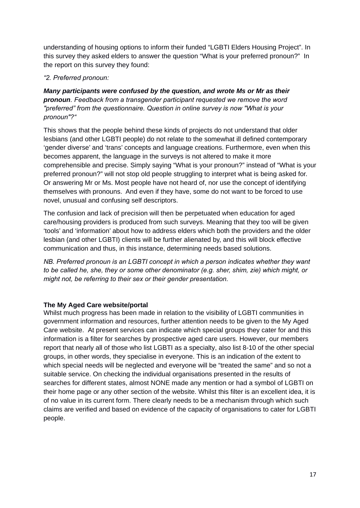understanding of housing options to inform their funded "LGBTI Elders Housing Project". In this survey they asked elders to answer the question "What is your preferred pronoun?" In the report on this survey they found:

#### *"2. Preferred pronoun:*

*Many participants were confused by the question, and wrote Ms or Mr as their pronoun. Feedback from a transgender participant requested we remove the word "preferred" from the questionnaire. Question in online survey is now "What is your pronoun"?"*

This shows that the people behind these kinds of projects do not understand that older lesbians (and other LGBTI people) do not relate to the somewhat ill defined contemporary 'gender diverse' and 'trans' concepts and language creations. Furthermore, even when this becomes apparent, the language in the surveys is not altered to make it more comprehensible and precise. Simply saying "What is your pronoun?" instead of "What is your preferred pronoun?" will not stop old people struggling to interpret what is being asked for. Or answering Mr or Ms. Most people have not heard of, nor use the concept of identifying themselves with pronouns. And even if they have, some do not want to be forced to use novel, unusual and confusing self descriptors.

The confusion and lack of precision will then be perpetuated when education for aged care/housing providers is produced from such surveys. Meaning that they too will be given 'tools' and 'information' about how to address elders which both the providers and the older lesbian (and other LGBTI) clients will be further alienated by, and this will block effective communication and thus, in this instance, determining needs based solutions.

*NB. Preferred pronoun is an LGBTI concept in which a person indicates whether they want to be called he, she, they or some other denominator (e.g. sher, shim, zie) which might, or might not, be referring to their sex or their gender presentation.* 

#### **The My Aged Care website/portal**

Whilst much progress has been made in relation to the visibility of LGBTI communities in government information and resources, further attention needs to be given to the My Aged Care website. At present services can indicate which special groups they cater for and this information is a filter for searches by prospective aged care users. However, our members report that nearly all of those who list LGBTI as a specialty, also list 8-10 of the other special groups, in other words, they specialise in everyone. This is an indication of the extent to which special needs will be neglected and everyone will be "treated the same" and so not a suitable service. On checking the individual organisations presented in the results of searches for different states, almost NONE made any mention or had a symbol of LGBTI on their home page or any other section of the website. Whilst this filter is an excellent idea, it is of no value in its current form. There clearly needs to be a mechanism through which such claims are verified and based on evidence of the capacity of organisations to cater for LGBTI people.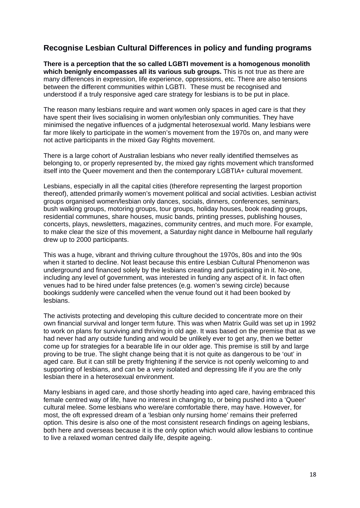# **Recognise Lesbian Cultural Differences in policy and funding programs**

**There is a perception that the so called LGBTI movement is a homogenous monolith which benignly encompasses all its various sub groups.** This is not true as there are many differences in expression, life experience, oppressions, etc. There are also tensions between the different communities within LGBTI. These must be recognised and understood if a truly responsive aged care strategy for lesbians is to be put in place.

The reason many lesbians require and want women only spaces in aged care is that they have spent their lives socialising in women only/lesbian only communities. They have minimised the negative influences of a judgmental heterosexual world. Many lesbians were far more likely to participate in the women's movement from the 1970s on, and many were not active participants in the mixed Gay Rights movement.

There is a large cohort of Australian lesbians who never really identified themselves as belonging to, or properly represented by, the mixed gay rights movement which transformed itself into the Queer movement and then the contemporary LGBTIA+ cultural movement.

Lesbians, especially in all the capital cities (therefore representing the largest proportion thereof), attended primarily women's movement political and social activities. Lesbian activist groups organised women/lesbian only dances, socials, dinners, conferences, seminars, bush walking groups, motoring groups, tour groups, holiday houses, book reading groups, residential communes, share houses, music bands, printing presses, publishing houses, concerts, plays, newsletters, magazines, community centres, and much more. For example, to make clear the size of this movement, a Saturday night dance in Melbourne hall regularly drew up to 2000 participants.

This was a huge, vibrant and thriving culture throughout the 1970s, 80s and into the 90s when it started to decline. Not least because this entire Lesbian Cultural Phenomenon was underground and financed solely by the lesbians creating and participating in it. No-one, including any level of government, was interested in funding any aspect of it. In fact often venues had to be hired under false pretences (e.g. women's sewing circle) because bookings suddenly were cancelled when the venue found out it had been booked by lesbians.

The activists protecting and developing this culture decided to concentrate more on their own financial survival and longer term future. This was when Matrix Guild was set up in 1992 to work on plans for surviving and thriving in old age. It was based on the premise that as we had never had any outside funding and would be unlikely ever to get any, then we better come up for strategies for a bearable life in our older age. This premise is still by and large proving to be true. The slight change being that it is not quite as dangerous to be 'out' in aged care. But it can still be pretty frightening if the service is not openly welcoming to and supporting of lesbians, and can be a very isolated and depressing life if you are the only lesbian there in a heterosexual environment.

Many lesbians in aged care, and those shortly heading into aged care, having embraced this female centred way of life, have no interest in changing to, or being pushed into a 'Queer' cultural melee. Some lesbians who were/are comfortable there, may have. However, for most, the oft expressed dream of a 'lesbian only nursing home' remains their preferred option. This desire is also one of the most consistent research findings on ageing lesbians, both here and overseas because it is the only option which would allow lesbians to continue to live a relaxed woman centred daily life, despite ageing.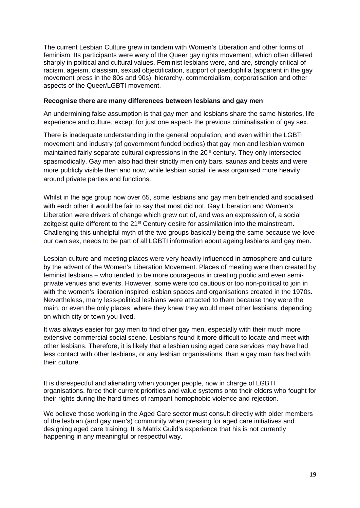The current Lesbian Culture grew in tandem with Women's Liberation and other forms of feminism. Its participants were wary of the Queer gay rights movement, which often differed sharply in political and cultural values. Feminist lesbians were, and are, strongly critical of racism, ageism, classism, sexual objectification, support of paedophilia (apparent in the gay movement press in the 80s and 90s), hierarchy, commercialism, corporatisation and other aspects of the Queer/LGBTI movement.

#### **Recognise there are many differences between lesbians and gay men**

An undermining false assumption is that gay men and lesbians share the same histories, life experience and culture, except for just one aspect- the previous criminalisation of gay sex.

There is inadequate understanding in the general population, and even within the LGBTI movement and industry (of government funded bodies) that gay men and lesbian women maintained fairly separate cultural expressions in the 20<sup>h</sup> century. They only intersected spasmodically. Gay men also had their strictly men only bars, saunas and beats and were more publicly visible then and now, while lesbian social life was organised more heavily around private parties and functions.

Whilst in the age group now over 65, some lesbians and gay men befriended and socialised with each other it would be fair to say that most did not. Gay Liberation and Women's Liberation were drivers of change which grew out of, and was an expression of, a social zeitgeist quite different to the 21<sup>st</sup> Century desire for assimilation into the mainstream. Challenging this unhelpful myth of the two groups basically being the same because we love our own sex, needs to be part of all LGBTI information about ageing lesbians and gay men.

Lesbian culture and meeting places were very heavily influenced in atmosphere and culture by the advent of the Women's Liberation Movement. Places of meeting were then created by feminist lesbians – who tended to be more courageous in creating public and even semiprivate venues and events. However, some were too cautious or too non-political to join in with the women's liberation inspired lesbian spaces and organisations created in the 1970s. Nevertheless, many less-political lesbians were attracted to them because they were the main, or even the only places, where they knew they would meet other lesbians, depending on which city or town you lived.

It was always easier for gay men to find other gay men, especially with their much more extensive commercial social scene. Lesbians found it more difficult to locate and meet with other lesbians. Therefore, it is likely that a lesbian using aged care services may have had less contact with other lesbians, or any lesbian organisations, than a gay man has had with their culture.

It is disrespectful and alienating when younger people, now in charge of LGBTI organisations, force their current priorities and value systems onto their elders who fought for their rights during the hard times of rampant homophobic violence and rejection.

We believe those working in the Aged Care sector must consult directly with older members of the lesbian (and gay men's) community when pressing for aged care initiatives and designing aged care training. It is Matrix Guild's experience that his is not currently happening in any meaningful or respectful way.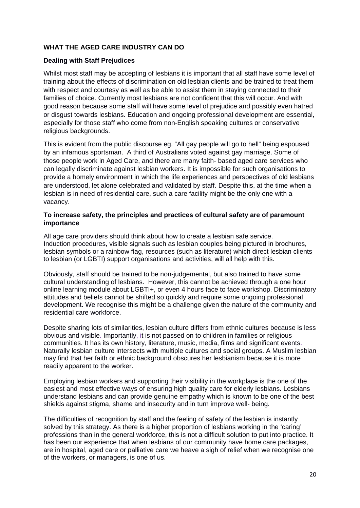#### **WHAT THE AGED CARE INDUSTRY CAN DO**

#### **Dealing with Staff Prejudices**

Whilst most staff may be accepting of lesbians it is important that all staff have some level of training about the effects of discrimination on old lesbian clients and be trained to treat them with respect and courtesy as well as be able to assist them in staying connected to their families of choice. Currently most lesbians are not confident that this will occur. And with good reason because some staff will have some level of prejudice and possibly even hatred or disgust towards lesbians. Education and ongoing professional development are essential, especially for those staff who come from non-English speaking cultures or conservative religious backgrounds.

This is evident from the public discourse eg. "All gay people will go to hell" being espoused by an infamous sportsman. A third of Australians voted against gay marriage. Some of those people work in Aged Care, and there are many faith- based aged care services who can legally discriminate against lesbian workers. It is impossible for such organisations to provide a homely environment in which the life experiences and perspectives of old lesbians are understood, let alone celebrated and validated by staff. Despite this, at the time when a lesbian is in need of residential care, such a care facility might be the only one with a vacancy.

#### **To increase safety, the principles and practices of cultural safety are of paramount importance**

All age care providers should think about how to create a lesbian safe service. Induction procedures, visible signals such as lesbian couples being pictured in brochures, lesbian symbols or a rainbow flag, resources (such as literature) which direct lesbian clients to lesbian (or LGBTI) support organisations and activities, will all help with this.

Obviously, staff should be trained to be non-judgemental, but also trained to have some cultural understanding of lesbians. However, this cannot be achieved through a one hour online learning module about LGBTI+, or even 4 hours face to face workshop. Discriminatory attitudes and beliefs cannot be shifted so quickly and require some ongoing professional development. We recognise this might be a challenge given the nature of the community and residential care workforce.

Despite sharing lots of similarities, lesbian culture differs from ethnic cultures because is less obvious and visible. Importantly, it is not passed on to children in families or religious communities. It has its own history, literature, music, media, films and significant events. Naturally lesbian culture intersects with multiple cultures and social groups. A Muslim lesbian may find that her faith or ethnic background obscures her lesbianism because it is more readily apparent to the worker.

Employing lesbian workers and supporting their visibility in the workplace is the one of the easiest and most effective ways of ensuring high quality care for elderly lesbians. Lesbians understand lesbians and can provide genuine empathy which is known to be one of the best shields against stigma, shame and insecurity and in turn improve well- being.

The difficulties of recognition by staff and the feeling of safety of the lesbian is instantly solved by this strategy. As there is a higher proportion of lesbians working in the 'caring' professions than in the general workforce, this is not a difficult solution to put into practice. It has been our experience that when lesbians of our community have home care packages, are in hospital, aged care or palliative care we heave a sigh of relief when we recognise one of the workers, or managers, is one of us.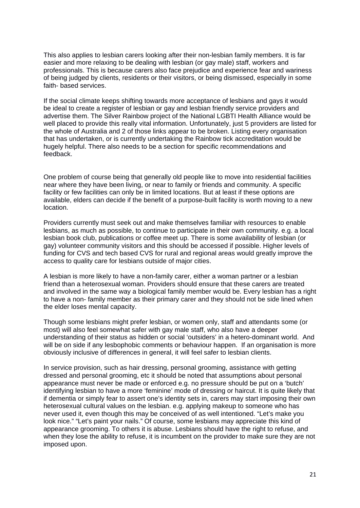This also applies to lesbian carers looking after their non-lesbian family members. It is far easier and more relaxing to be dealing with lesbian (or gay male) staff, workers and professionals. This is because carers also face prejudice and experience fear and wariness of being judged by clients, residents or their visitors, or being dismissed, especially in some faith- based services.

If the social climate keeps shifting towards more acceptance of lesbians and gays it would be ideal to create a register of lesbian or gay and lesbian friendly service providers and advertise them. The Silver Rainbow project of the National LGBTI Health Alliance would be well placed to provide this really vital information. Unfortunately, just 5 providers are listed for the whole of Australia and 2 of those links appear to be broken. Listing every organisation that has undertaken, or is currently undertaking the Rainbow tick accreditation would be hugely helpful. There also needs to be a section for specific recommendations and feedback.

One problem of course being that generally old people like to move into residential facilities near where they have been living, or near to family or friends and community. A specific facility or few facilities can only be in limited locations. But at least if these options are available, elders can decide if the benefit of a purpose-built facility is worth moving to a new location.

Providers currently must seek out and make themselves familiar with resources to enable lesbians, as much as possible, to continue to participate in their own community. e.g. a local lesbian book club, publications or coffee meet up. There is some availability of lesbian (or gay) volunteer community visitors and this should be accessed if possible. Higher levels of funding for CVS and tech based CVS for rural and regional areas would greatly improve the access to quality care for lesbians outside of major cities.

A lesbian is more likely to have a non-family carer, either a woman partner or a lesbian friend than a heterosexual woman. Providers should ensure that these carers are treated and involved in the same way a biological family member would be. Every lesbian has a right to have a non- family member as their primary carer and they should not be side lined when the elder loses mental capacity.

Though some lesbians might prefer lesbian, or women only, staff and attendants some (or most) will also feel somewhat safer with gay male staff, who also have a deeper understanding of their status as hidden or social 'outsiders' in a hetero-dominant world. And will be on side if any lesbophobic comments or behaviour happen. If an organisation is more obviously inclusive of differences in general, it will feel safer to lesbian clients.

In service provision, such as hair dressing, personal grooming, assistance with getting dressed and personal grooming, etc it should be noted that assumptions about personal appearance must never be made or enforced e.g. no pressure should be put on a 'butch' identifying lesbian to have a more 'feminine' mode of dressing or haircut. It is quite likely that if dementia or simply fear to assert one's identity sets in, carers may start imposing their own heterosexual cultural values on the lesbian. e.g. applying makeup to someone who has never used it, even though this may be conceived of as well intentioned. "Let's make you look nice." "Let's paint your nails." Of course, some lesbians may appreciate this kind of appearance grooming. To others it is abuse. Lesbians should have the right to refuse, and when they lose the ability to refuse, it is incumbent on the provider to make sure they are not imposed upon.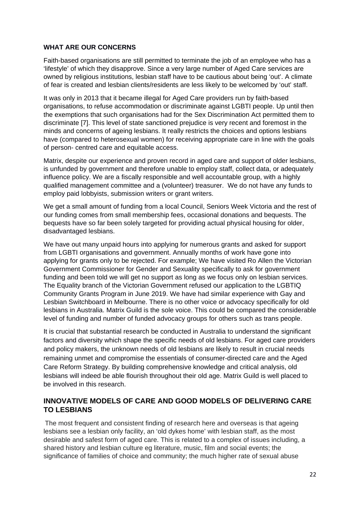#### **WHAT ARE OUR CONCERNS**

Faith-based organisations are still permitted to terminate the job of an employee who has a 'lifestyle' of which they disapprove. Since a very large number of Aged Care services are owned by religious institutions, lesbian staff have to be cautious about being 'out'. A climate of fear is created and lesbian clients/residents are less likely to be welcomed by 'out' staff.

It was only in 2013 that it became illegal for Aged Care providers run by faith-based organisations, to refuse accommodation or discriminate against LGBTI people. Up until then the exemptions that such organisations had for the Sex Discrimination Act permitted them to discriminate [7]. This level of state sanctioned prejudice is very recent and foremost in the minds and concerns of ageing lesbians. It really restricts the choices and options lesbians have (compared to heterosexual women) for receiving appropriate care in line with the goals of person- centred care and equitable access.

Matrix, despite our experience and proven record in aged care and support of older lesbians, is unfunded by government and therefore unable to employ staff, collect data, or adequately influence policy. We are a fiscally responsible and well accountable group, with a highly qualified management committee and a (volunteer) treasurer. We do not have any funds to employ paid lobbyists, submission writers or grant writers.

We get a small amount of funding from a local Council, Seniors Week Victoria and the rest of our funding comes from small membership fees, occasional donations and bequests. The bequests have so far been solely targeted for providing actual physical housing for older, disadvantaged lesbians.

We have out many unpaid hours into applying for numerous grants and asked for support from LGBTI organisations and government. Annually months of work have gone into applying for grants only to be rejected. For example; We have visited Ro Allen the Victorian Government Commissioner for Gender and Sexuality specifically to ask for government funding and been told we will get no support as long as we focus only on lesbian services. The Equality branch of the Victorian Government refused our application to the LGBTIQ Community Grants Program in June 2019. We have had similar experience with Gay and Lesbian Switchboard in Melbourne. There is no other voice or advocacy specifically for old lesbians in Australia. Matrix Guild is the sole voice. This could be compared the considerable level of funding and number of funded advocacy groups for others such as trans people.

It is crucial that substantial research be conducted in Australia to understand the significant factors and diversity which shape the specific needs of old lesbians. For aged care providers and policy makers, the unknown needs of old lesbians are likely to result in crucial needs remaining unmet and compromise the essentials of consumer‐directed care and the Aged Care Reform Strategy. By building comprehensive knowledge and critical analysis, old lesbians will indeed be able flourish throughout their old age. Matrix Guild is well placed to be involved in this research.

## **INNOVATIVE MODELS OF CARE AND GOOD MODELS OF DELIVERING CARE TO LESBIANS**

The most frequent and consistent finding of research here and overseas is that ageing lesbians see a lesbian only facility, an 'old dykes home' with lesbian staff, as the most desirable and safest form of aged care. This is related to a complex of issues including, a shared history and lesbian culture eg literature, music, film and social events; the significance of families of choice and community; the much higher rate of sexual abuse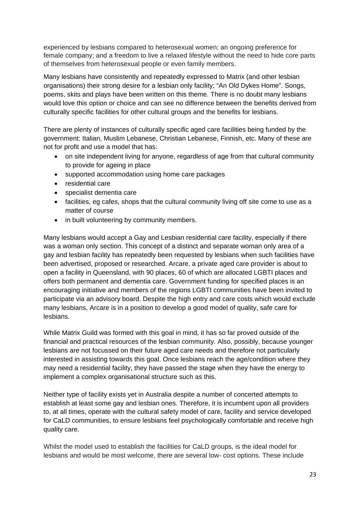experienced by lesbians compared to heterosexual women; an ongoing preference for female company; and a freedom to live a relaxed lifestyle without the need to hide core parts of themselves from heterosexual people or even family members.

Many lesbians have consistently and repeatedly expressed to Matrix (and other lesbian organisations) their strong desire for a lesbian only facility; "An Old Dykes Home". Songs, poems, skits and plays have been written on this theme. There is no doubt many lesbians would love this option or choice and can see no difference between the benefits derived from culturally specific facilities for other cultural groups and the benefits for lesbians.

There are plenty of instances of culturally specific aged care facilities being funded by the government: Italian, Muslim Lebanese, Christian Lebanese, Finnish, etc. Many of these are not for profit and use a model that has:

- on site independent living for anyone, regardless of age from that cultural community to provide for ageing in place
- supported accommodation using home care packages
- residential care
- specialist dementia care
- facilities, eg cafes, shops that the cultural community living off site come to use as a matter of course
- in built volunteering by community members.

Many lesbians would accept a Gay and Lesbian residential care facility, especially if there was a woman only section. This concept of a distinct and separate woman only area of a gay and lesbian facility has repeatedly been requested by lesbians when such facilities have been advertised, proposed or researched. Arcare, a private aged care provider is about to open a facility in Queensland, with 90 places, 60 of which are allocated LGBTI places and offers both permanent and dementia care. Government funding for specified places is an encouraging initiative and members of the regions LGBTI communities have been invited to participate via an advisory board. Despite the high entry and care costs which would exclude many lesbians, Arcare is in a position to develop a good model of quality, safe care for lesbians.

While Matrix Guild was formed with this goal in mind, it has so far proved outside of the financial and practical resources of the lesbian community. Also, possibly, because younger lesbians are not focussed on their future aged care needs and therefore not particularly interested in assisting towards this goal. Once lesbians reach the age/condition where they may need a residential facility, they have passed the stage when they have the energy to implement a complex organisational structure such as this.

Neither type of facility exists yet in Australia despite a number of concerted attempts to establish at least some gay and lesbian ones. Therefore, it is incumbent upon all providers to, at all times, operate with the cultural safety model of care, facility and service developed for CaLD communities, to ensure lesbians feel psychologically comfortable and receive high quality care.

Whilst the model used to establish the facilities for CaLD groups, is the ideal model for lesbians and would be most welcome, there are several low- cost options. These include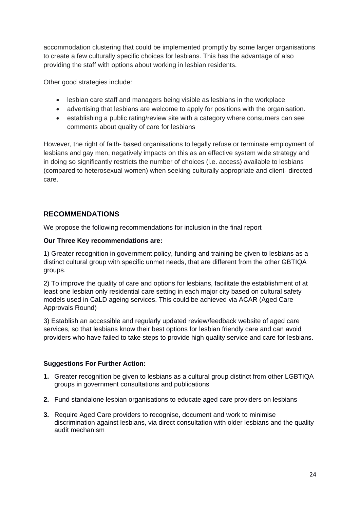accommodation clustering that could be implemented promptly by some larger organisations to create a few culturally specific choices for lesbians. This has the advantage of also providing the staff with options about working in lesbian residents.

Other good strategies include:

- lesbian care staff and managers being visible as lesbians in the workplace
- advertising that lesbians are welcome to apply for positions with the organisation.
- establishing a public rating/review site with a category where consumers can see comments about quality of care for lesbians

However, the right of faith- based organisations to legally refuse or terminate employment of lesbians and gay men, negatively impacts on this as an effective system wide strategy and in doing so significantly restricts the number of choices (i.e. access) available to lesbians (compared to heterosexual women) when seeking culturally appropriate and client- directed care.

# **RECOMMENDATIONS**

We propose the following recommendations for inclusion in the final report

#### **Our Three Key recommendations are:**

1) Greater recognition in government policy, funding and training be given to lesbians as a distinct cultural group with specific unmet needs, that are different from the other GBTIQA groups.

2) To improve the quality of care and options for lesbians, facilitate the establishment of at least one lesbian only residential care setting in each major city based on cultural safety models used in CaLD ageing services. This could be achieved via ACAR (Aged Care Approvals Round)

3) Establish an accessible and regularly updated review/feedback website of aged care services, so that lesbians know their best options for lesbian friendly care and can avoid providers who have failed to take steps to provide high quality service and care for lesbians.

#### **Suggestions For Further Action:**

- **1.** Greater recognition be given to lesbians as a cultural group distinct from other LGBTIQA groups in government consultations and publications
- **2.** Fund standalone lesbian organisations to educate aged care providers on lesbians
- **3.** Require Aged Care providers to recognise, document and work to minimise discrimination against lesbians, via direct consultation with older lesbians and the quality audit mechanism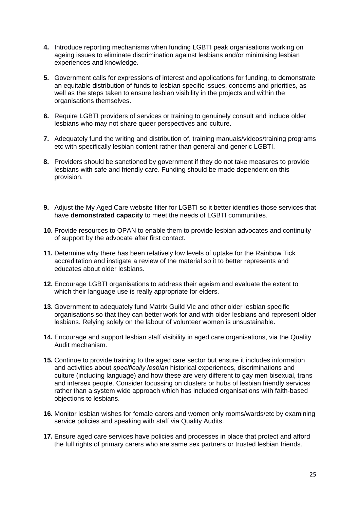- **4.** Introduce reporting mechanisms when funding LGBTI peak organisations working on ageing issues to eliminate discrimination against lesbians and/or minimising lesbian experiences and knowledge.
- **5.** Government calls for expressions of interest and applications for funding, to demonstrate an equitable distribution of funds to lesbian specific issues, concerns and priorities, as well as the steps taken to ensure lesbian visibility in the projects and within the organisations themselves.
- **6.** Require LGBTI providers of services or training to genuinely consult and include older lesbians who may not share queer perspectives and culture.
- **7.** Adequately fund the writing and distribution of, training manuals/videos/training programs etc with specifically lesbian content rather than general and generic LGBTI.
- **8.** Providers should be sanctioned by government if they do not take measures to provide lesbians with safe and friendly care. Funding should be made dependent on this provision.
- **9.** Adjust the My Aged Care website filter for LGBTI so it better identifies those services that have **demonstrated capacity** to meet the needs of LGBTI communities.
- **10.** Provide resources to OPAN to enable them to provide lesbian advocates and continuity of support by the advocate after first contact.
- **11.** Determine why there has been relatively low levels of uptake for the Rainbow Tick accreditation and instigate a review of the material so it to better represents and educates about older lesbians.
- **12.** Encourage LGBTI organisations to address their ageism and evaluate the extent to which their language use is really appropriate for elders.
- **13.** Government to adequately fund Matrix Guild Vic and other older lesbian specific organisations so that they can better work for and with older lesbians and represent older lesbians. Relying solely on the labour of volunteer women is unsustainable.
- **14.** Encourage and support lesbian staff visibility in aged care organisations, via the Quality Audit mechanism.
- **15.** Continue to provide training to the aged care sector but ensure it includes information and activities about *specifically lesbian* historical experiences, discriminations and culture (including language) and how these are very different to gay men bisexual, trans and intersex people. Consider focussing on clusters or hubs of lesbian friendly services rather than a system wide approach which has included organisations with faith-based objections to lesbians.
- **16.** Monitor lesbian wishes for female carers and women only rooms/wards/etc by examining service policies and speaking with staff via Quality Audits.
- **17.** Ensure aged care services have policies and processes in place that protect and afford the full rights of primary carers who are same sex partners or trusted lesbian friends.